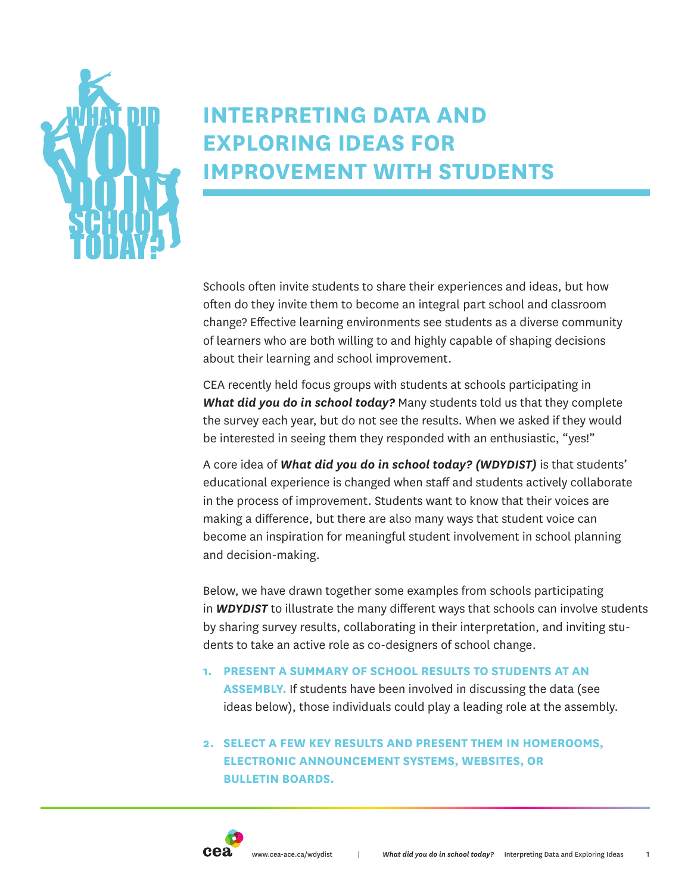

# **INTERPRETING DATA AND EXPLORING IDEAS FOR IMPROVEMENT WITH STUDENTS**

Schools often invite students to share their experiences and ideas, but how often do they invite them to become an integral part school and classroom change? Effective learning environments see students as a diverse community of learners who are both willing to and highly capable of shaping decisions about their learning and school improvement.

CEA recently held focus groups with students at schools participating in *What did you do in school today?* Many students told us that they complete the survey each year, but do not see the results. When we asked if they would be interested in seeing them they responded with an enthusiastic, "yes!"

A core idea of *What did you do in school today? (WDYDIST)* is that students' educational experience is changed when staff and students actively collaborate in the process of improvement. Students want to know that their voices are making a difference, but there are also many ways that student voice can become an inspiration for meaningful student involvement in school planning and decision-making.

Below, we have drawn together some examples from schools participating in *WDYDIST* to illustrate the many different ways that schools can involve students by sharing survey results, collaborating in their interpretation, and inviting students to take an active role as co-designers of school change.

**1. PRESENT A SUMMARY OF SCHOOL RESULTS TO STUDENTS AT AN** 

**ASSEMBLY.** If students have been involved in discussing the data (see ideas below), those individuals could play a leading role at the assembly.

**2. SELECT A FEW KEY RESULTS AND PRESENT THEM IN HOMEROOMS, ELECTRONIC ANNOUNCEMENT SYSTEMS, WEBSITES, OR BULLETIN BOARDS.**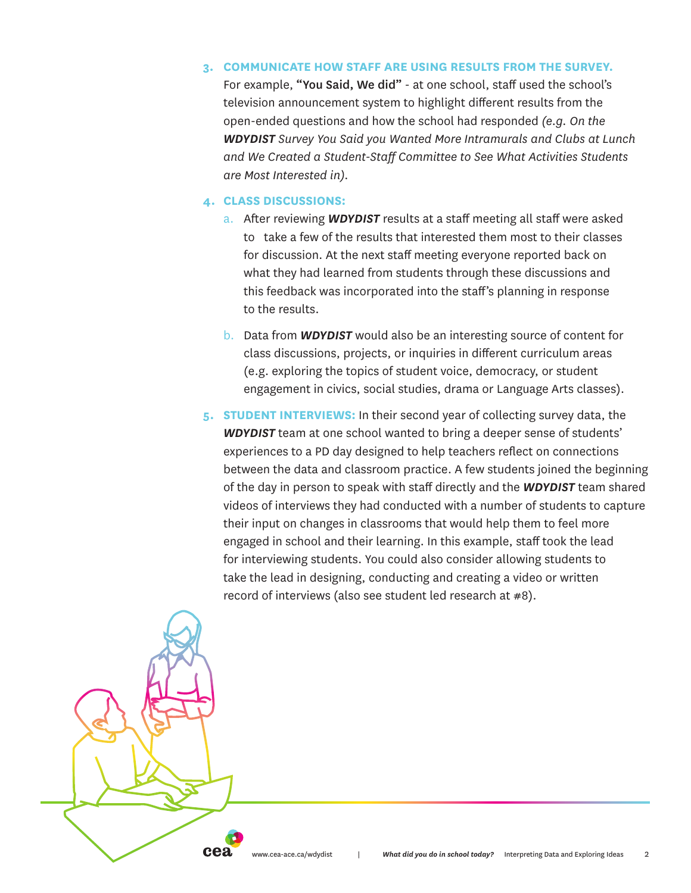## **3. COMMUNICATE HOW STAFF ARE USING RESULTS FROM THE SURVEY.**

For example, "You Said, We did" - at one school, staff used the school's television announcement system to highlight different results from the open-ended questions and how the school had responded *(e.g. On the WDYDIST Survey You Said you Wanted More Intramurals and Clubs at Lunch and We Created a Student-Staff Committee to See What Activities Students are Most Interested in).* 

## **4. CLASS DISCUSSIONS:**

cea

- a. After reviewing *WDYDIST* results at a staff meeting all staff were asked to take a few of the results that interested them most to their classes for discussion. At the next staff meeting everyone reported back on what they had learned from students through these discussions and this feedback was incorporated into the staff's planning in response to the results.
- b. Data from *WDYDIST* would also be an interesting source of content for class discussions, projects, or inquiries in different curriculum areas (e.g. exploring the topics of student voice, democracy, or student engagement in civics, social studies, drama or Language Arts classes).
- **5. STUDENT INTERVIEWS:** In their second year of collecting survey data, the *WDYDIST* team at one school wanted to bring a deeper sense of students' experiences to a PD day designed to help teachers reflect on connections between the data and classroom practice. A few students joined the beginning of the day in person to speak with staff directly and the *WDYDIST* team shared videos of interviews they had conducted with a number of students to capture their input on changes in classrooms that would help them to feel more engaged in school and their learning. In this example, staff took the lead for interviewing students. You could also consider allowing students to take the lead in designing, conducting and creating a video or written record of interviews (also see student led research at #8).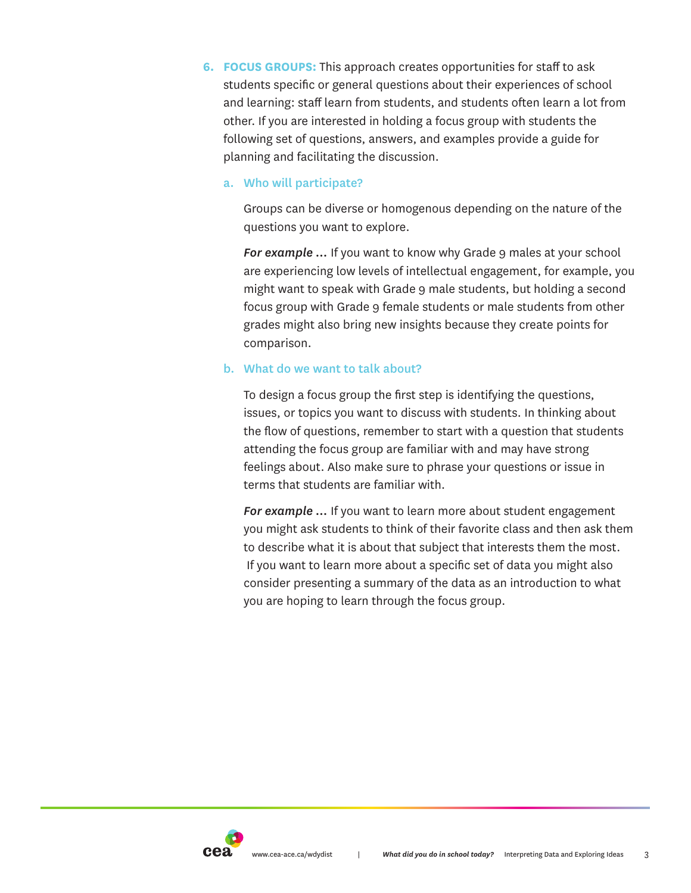**6. FOCUS GROUPS:** This approach creates opportunities for staff to ask students specific or general questions about their experiences of school and learning: staff learn from students, and students often learn a lot from other. If you are interested in holding a focus group with students the following set of questions, answers, and examples provide a guide for planning and facilitating the discussion.

# a. Who will participate?

Groups can be diverse or homogenous depending on the nature of the questions you want to explore.

For example ... If you want to know why Grade 9 males at your school are experiencing low levels of intellectual engagement, for example, you might want to speak with Grade 9 male students, but holding a second focus group with Grade 9 female students or male students from other grades might also bring new insights because they create points for comparison.

# b. What do we want to talk about?

To design a focus group the first step is identifying the questions, issues, or topics you want to discuss with students. In thinking about the flow of questions, remember to start with a question that students attending the focus group are familiar with and may have strong feelings about. Also make sure to phrase your questions or issue in terms that students are familiar with.

*For example …* If you want to learn more about student engagement you might ask students to think of their favorite class and then ask them to describe what it is about that subject that interests them the most. If you want to learn more about a specific set of data you might also consider presenting a summary of the data as an introduction to what you are hoping to learn through the focus group.

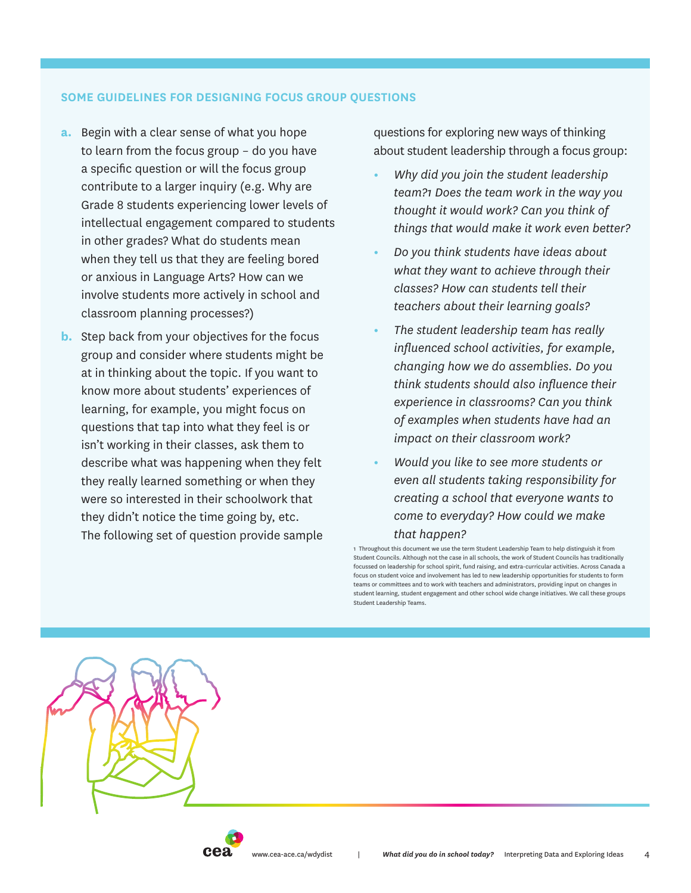#### **SOME GUIDELINES FOR DESIGNING FOCUS GROUP QUESTIONS**

- **a.** Begin with a clear sense of what you hope to learn from the focus group – do you have a specific question or will the focus group contribute to a larger inquiry (e.g. Why are Grade 8 students experiencing lower levels of intellectual engagement compared to students in other grades? What do students mean when they tell us that they are feeling bored or anxious in Language Arts? How can we involve students more actively in school and classroom planning processes?)
- **b.** Step back from your objectives for the focus group and consider where students might be at in thinking about the topic. If you want to know more about students' experiences of learning, for example, you might focus on questions that tap into what they feel is or isn't working in their classes, ask them to describe what was happening when they felt they really learned something or when they were so interested in their schoolwork that they didn't notice the time going by, etc. The following set of question provide sample

questions for exploring new ways of thinking about student leadership through a focus group:

- **•** *Why did you join the student leadership team?1 Does the team work in the way you thought it would work? Can you think of things that would make it work even better?*
- **•** *Do you think students have ideas about what they want to achieve through their classes? How can students tell their teachers about their learning goals?*
- **•** *The student leadership team has really influenced school activities, for example, changing how we do assemblies. Do you think students should also influence their experience in classrooms? Can you think of examples when students have had an impact on their classroom work?*
- **•** *Would you like to see more students or even all students taking responsibility for creating a school that everyone wants to come to everyday? How could we make*

#### *that happen?*

1 Throughout this document we use the term Student Leadership Team to help distinguish it from Student Councils. Although not the case in all schools, the work of Student Councils has traditionally focussed on leadership for school spirit, fund raising, and extra-curricular activities. Across Canada a focus on student voice and involvement has led to new leadership opportunities for students to form teams or committees and to work with teachers and administrators, providing input on changes in student learning, student engagement and other school wide change initiatives. We call these groups Student Leadership Teams.



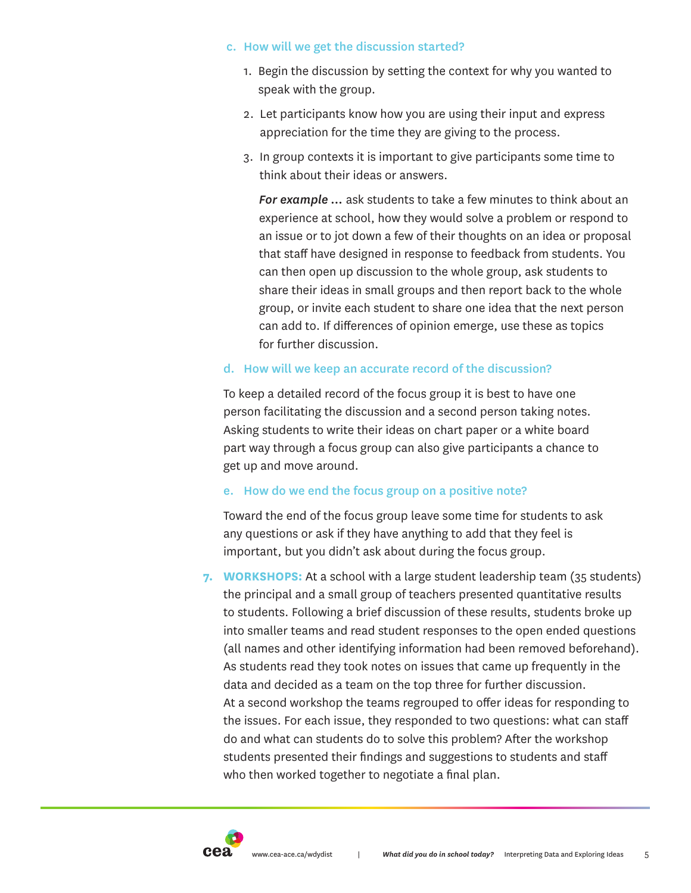## c. How will we get the discussion started?

- 1. Begin the discussion by setting the context for why you wanted to speak with the group.
- 2. Let participants know how you are using their input and express appreciation for the time they are giving to the process.
- 3. In group contexts it is important to give participants some time to think about their ideas or answers.

 *For example …* ask students to take a few minutes to think about an experience at school, how they would solve a problem or respond to an issue or to jot down a few of their thoughts on an idea or proposal that staff have designed in response to feedback from students. You can then open up discussion to the whole group, ask students to share their ideas in small groups and then report back to the whole group, or invite each student to share one idea that the next person can add to. If differences of opinion emerge, use these as topics for further discussion.

# d. How will we keep an accurate record of the discussion?

To keep a detailed record of the focus group it is best to have one person facilitating the discussion and a second person taking notes. Asking students to write their ideas on chart paper or a white board part way through a focus group can also give participants a chance to get up and move around.

# e. How do we end the focus group on a positive note?

Toward the end of the focus group leave some time for students to ask any questions or ask if they have anything to add that they feel is important, but you didn't ask about during the focus group.

**7. WORKSHOPS:** At a school with a large student leadership team (35 students) the principal and a small group of teachers presented quantitative results to students. Following a brief discussion of these results, students broke up into smaller teams and read student responses to the open ended questions (all names and other identifying information had been removed beforehand). As students read they took notes on issues that came up frequently in the data and decided as a team on the top three for further discussion. At a second workshop the teams regrouped to offer ideas for responding to the issues. For each issue, they responded to two questions: what can staff do and what can students do to solve this problem? After the workshop students presented their findings and suggestions to students and staff who then worked together to negotiate a final plan.